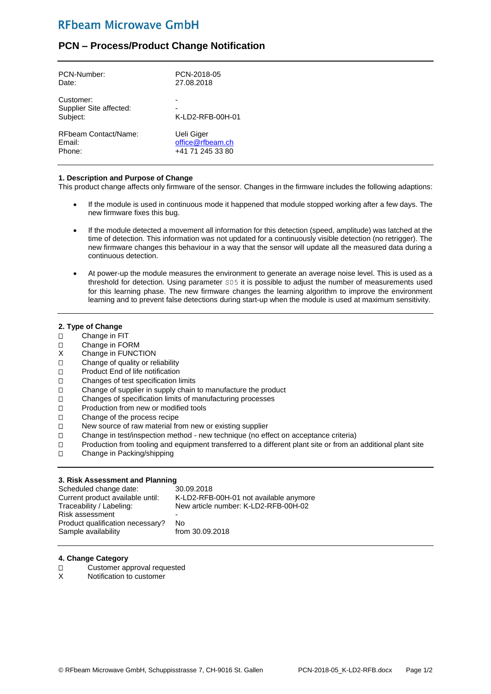## **RFbeam Microwave GmbH**

### **PCN – Process/Product Change Notification**

| PCN-Number:                                      | PCN-2018-05      |
|--------------------------------------------------|------------------|
| Date:                                            | 27.08.2018       |
| Customer:<br>Supplier Site affected:<br>Subject: | K-LD2-RFB-00H-01 |
| RFbeam Contact/Name:                             | Ueli Giger       |
| Email:                                           | office@rfbeam.ch |
| Phone:                                           | +41 71 245 33 80 |

#### **1. Description and Purpose of Change**

This product change affects only firmware of the sensor. Changes in the firmware includes the following adaptions:

- If the module is used in continuous mode it happened that module stopped working after a few days. The new firmware fixes this bug.
- If the module detected a movement all information for this detection (speed, amplitude) was latched at the time of detection. This information was not updated for a continuously visible detection (no retrigger). The new firmware changes this behaviour in a way that the sensor will update all the measured data during a continuous detection.
- At power-up the module measures the environment to generate an average noise level. This is used as a threshold for detection. Using parameter S05 it is possible to adjust the number of measurements used for this learning phase. The new firmware changes the learning algorithm to improve the environment learning and to prevent false detections during start-up when the module is used at maximum sensitivity.

#### **2. Type of Change**

- Change in FIT
- Change in FORM
- X Change in FUNCTION
- □ Change of quality or reliability
- □ Product End of life notification
- Changes of test specification limits
- □ Change of supplier in supply chain to manufacture the product
- Changes of specification limits of manufacturing processes
- □ Production from new or modified tools
- Change of the process recipe
- □ New source of raw material from new or existing supplier
- Change in test/inspection method new technique (no effect on acceptance criteria)
- □ Production from tooling and equipment transferred to a different plant site or from an additional plant site
- □ Change in Packing/shipping

#### **3. Risk Assessment and Planning**

| Scheduled change date:           | 30.09.2018                             |
|----------------------------------|----------------------------------------|
| Current product available until: | K-LD2-RFB-00H-01 not available anymore |
| Traceability / Labeling:         | New article number: K-LD2-RFB-00H-02   |
| Risk assessment                  |                                        |
| Product qualification necessary? | No.                                    |
| Sample availability              | from 30.09.2018                        |

#### **4. Change Category**

- □ Customer approval requested<br>X Notification to customer
- Notification to customer